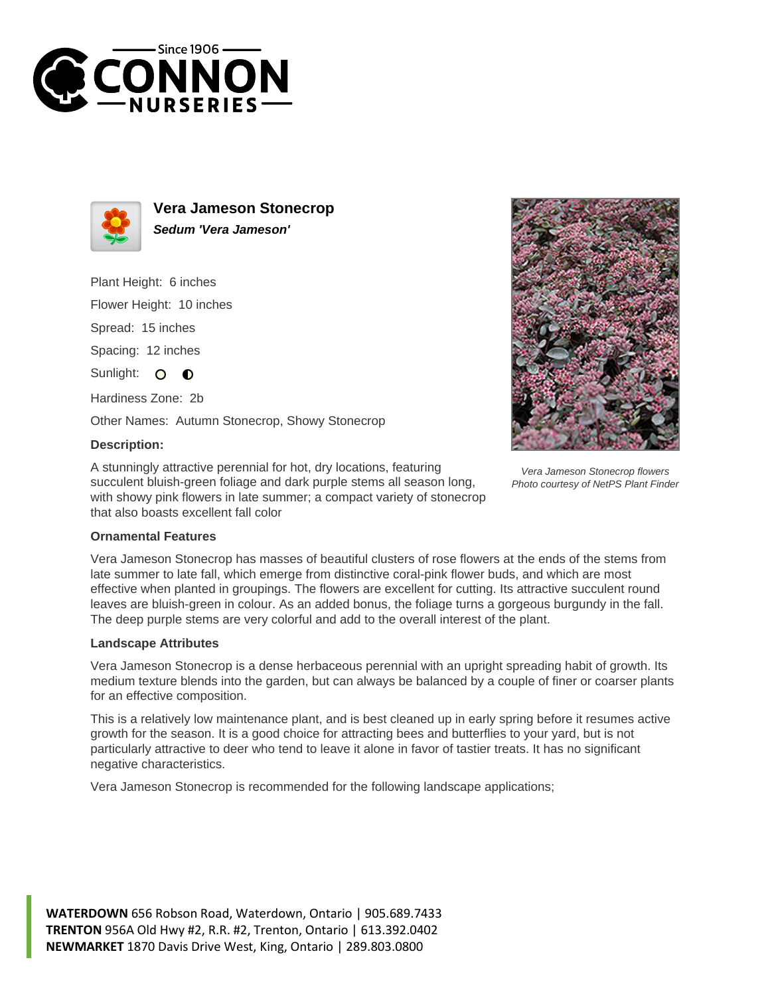



**Vera Jameson Stonecrop Sedum 'Vera Jameson'**

Plant Height: 6 inches

Flower Height: 10 inches

Spread: 15 inches

Spacing: 12 inches

Sunlight: O  $\bullet$ 

Hardiness Zone: 2b

Other Names: Autumn Stonecrop, Showy Stonecrop

## **Description:**

A stunningly attractive perennial for hot, dry locations, featuring succulent bluish-green foliage and dark purple stems all season long, with showy pink flowers in late summer; a compact variety of stonecrop that also boasts excellent fall color



Vera Jameson Stonecrop flowers Photo courtesy of NetPS Plant Finder

## **Ornamental Features**

Vera Jameson Stonecrop has masses of beautiful clusters of rose flowers at the ends of the stems from late summer to late fall, which emerge from distinctive coral-pink flower buds, and which are most effective when planted in groupings. The flowers are excellent for cutting. Its attractive succulent round leaves are bluish-green in colour. As an added bonus, the foliage turns a gorgeous burgundy in the fall. The deep purple stems are very colorful and add to the overall interest of the plant.

## **Landscape Attributes**

Vera Jameson Stonecrop is a dense herbaceous perennial with an upright spreading habit of growth. Its medium texture blends into the garden, but can always be balanced by a couple of finer or coarser plants for an effective composition.

This is a relatively low maintenance plant, and is best cleaned up in early spring before it resumes active growth for the season. It is a good choice for attracting bees and butterflies to your yard, but is not particularly attractive to deer who tend to leave it alone in favor of tastier treats. It has no significant negative characteristics.

Vera Jameson Stonecrop is recommended for the following landscape applications;

**WATERDOWN** 656 Robson Road, Waterdown, Ontario | 905.689.7433 **TRENTON** 956A Old Hwy #2, R.R. #2, Trenton, Ontario | 613.392.0402 **NEWMARKET** 1870 Davis Drive West, King, Ontario | 289.803.0800